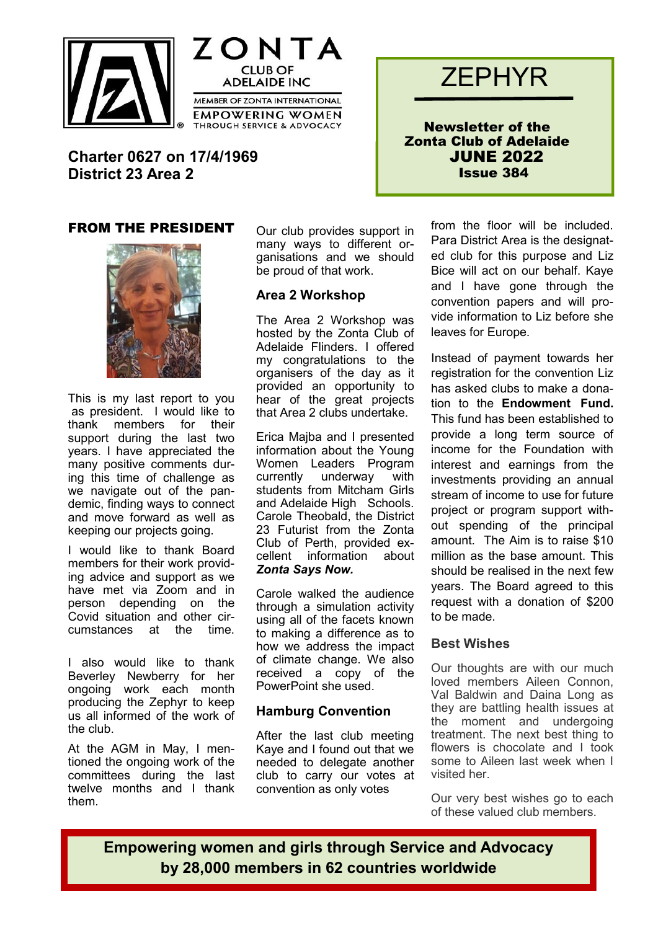





Newsletter of the Zonta Club of Adelaide JUNE 2022 Issue 384

**Charter 0627 on 17/4/1969 District 23 Area 2**

## FROM THE PRESIDENT



This is my last report to you as president. I would like to thank members for their support during the last two years. I have appreciated the many positive comments during this time of challenge as we navigate out of the pandemic, finding ways to connect and move forward as well as keeping our projects going.

I would like to thank Board members for their work providing advice and support as we have met via Zoom and in person depending on the Covid situation and other circumstances at the time.

I also would like to thank Beverley Newberry for her ongoing work each month producing the Zephyr to keep us all informed of the work of the club.

At the AGM in May, I mentioned the ongoing work of the committees during the last twelve months and I thank them.

Our club provides support in many ways to different organisations and we should be proud of that work.

### **Area 2 Workshop**

The Area 2 Workshop was hosted by the Zonta Club of Adelaide Flinders. I offered my congratulations to the organisers of the day as it provided an opportunity to hear of the great projects that Area 2 clubs undertake.

Erica Majba and I presented information about the Young Women Leaders Program currently underway with students from Mitcham Girls and Adelaide High Schools. Carole Theobald, the District 23 Futurist from the Zonta Club of Perth, provided excellent information about *Zonta Says Now.*

Carole walked the audience through a simulation activity using all of the facets known to making a difference as to how we address the impact of climate change. We also received a copy of the PowerPoint she used.

# **Hamburg Convention**

After the last club meeting Kaye and I found out that we needed to delegate another club to carry our votes at convention as only votes

from the floor will be included. Para District Area is the designated club for this purpose and Liz Bice will act on our behalf. Kaye and I have gone through the convention papers and will provide information to Liz before she leaves for Europe.

Instead of payment towards her registration for the convention Liz has asked clubs to make a donation to the **Endowment Fund.** This fund has been established to provide a long term source of income for the Foundation with interest and earnings from the investments providing an annual stream of income to use for future project or program support without spending of the principal amount. The Aim is to raise \$10 million as the base amount. This should be realised in the next few years. The Board agreed to this request with a donation of \$200 to be made.

### **Best Wishes**

Our thoughts are with our much loved members Aileen Connon, Val Baldwin and Daina Long as they are battling health issues at the moment and undergoing treatment. The next best thing to flowers is chocolate and I took some to Aileen last week when I visited her.

Our very best wishes go to each of these valued club members.

**Empowering women and girls through Service and Advocacy by 28,000 members in 62 countries worldwide**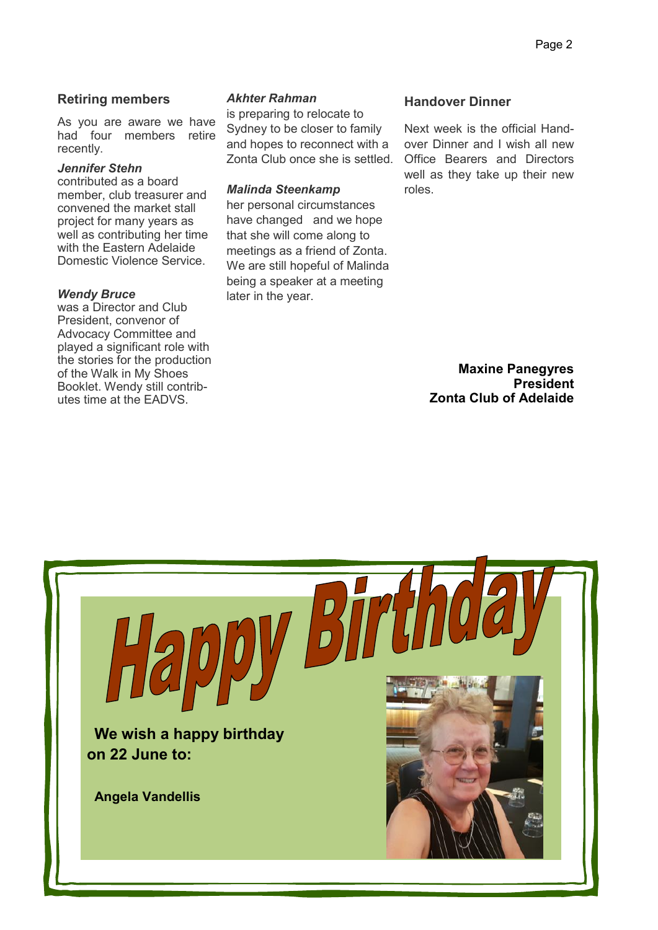### **Retiring members**

As you are aware we have had four members retire recently.

#### *Jennifer Stehn*

contributed as a board member, club treasurer and convened the market stall project for many years as well as contributing her time with the Eastern Adelaide Domestic Violence Service.

#### *Wendy Bruce*

was a Director and Club President, convenor of Advocacy Committee and played a significant role with the stories for the production of the Walk in My Shoes Booklet. Wendy still contributes time at the EADVS.

#### *Akhter Rahman*

is preparing to relocate to Sydney to be closer to family and hopes to reconnect with a Zonta Club once she is settled.

#### *Malinda Steenkamp*

her personal circumstances have changed and we hope that she will come along to meetings as a friend of Zonta. We are still hopeful of Malinda being a speaker at a meeting later in the year.

### **Handover Dinner**

Next week is the official Handover Dinner and I wish all new Office Bearers and Directors well as they take up their new roles.

> **Maxine Panegyres President Zonta Club of Adelaide**

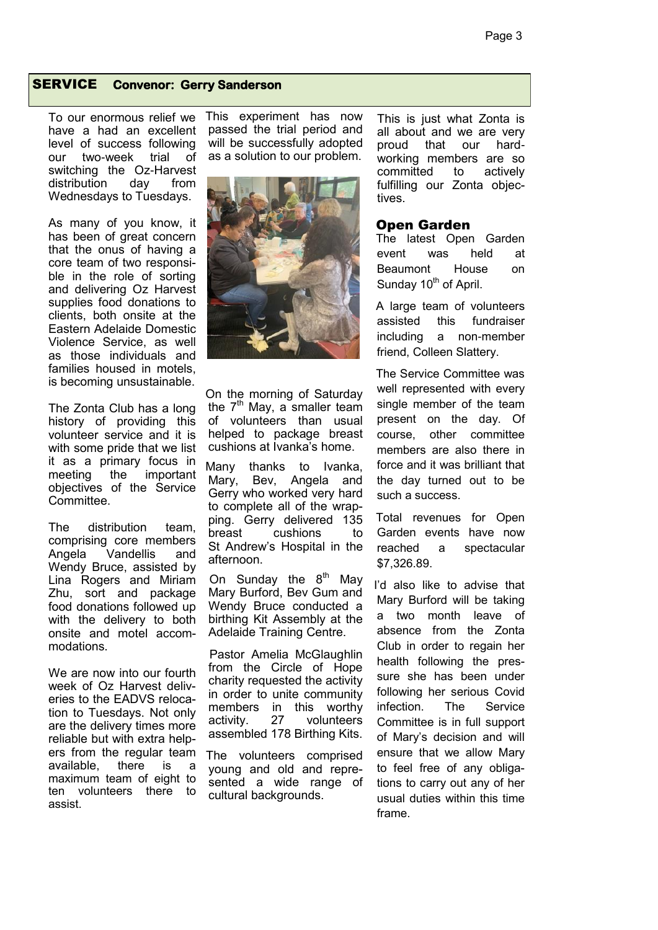#### SERVICE **Convenor: Gerry Sanderson**

To our enormous relief we have a had an excellent level of success following our two-week trial of switching the Oz-Harvest distribution day from Wednesdays to Tuesdays.

As many of you know, it has been of great concern that the onus of having a core team of two responsible in the role of sorting and delivering Oz Harvest supplies food donations to clients, both onsite at the Eastern Adelaide Domestic Violence Service, as well as those individuals and families housed in motels, is becoming unsustainable.

The Zonta Club has a long history of providing this volunteer service and it is with some pride that we list it as a primary focus in meeting the important objectives of the Service Committee.

The distribution team, comprising core members Angela Vandellis and Wendy Bruce, assisted by Lina Rogers and Miriam Zhu, sort and package food donations followed up with the delivery to both onsite and motel accommodations.

We are now into our fourth week of Oz Harvest deliveries to the EADVS relocation to Tuesdays. Not only are the delivery times more reliable but with extra helpers from the regular team available, there is a maximum team of eight to ten volunteers there to assist.

This experiment has now passed the trial period and will be successfully adopted as a solution to our problem.



On the morning of Saturday the  $7<sup>th</sup>$  May, a smaller team of volunteers than usual helped to package breast cushions at Ivanka's home.

Many thanks to Ivanka, Mary, Bev, Angela and Gerry who worked very hard to complete all of the wrapping. Gerry delivered 135 breast cushions to St Andrew's Hospital in the afternoon.

On Sunday the  $8<sup>th</sup>$  May Mary Burford, Bev Gum and Wendy Bruce conducted a birthing Kit Assembly at the Adelaide Training Centre.

 Pastor Amelia McGlaughlin from the Circle of Hope charity requested the activity in order to unite community members in this worthy<br>activity. 27 volunteers activity. 27 volunteers assembled 178 Birthing Kits.

The volunteers comprised young and old and represented a wide range of cultural backgrounds.

This is just what Zonta is all about and we are very proud that our hardworking members are so committed to actively fulfilling our Zonta objectives.

#### Open Garden

The latest Open Garden event was held at Beaumont House on Sunday 10<sup>th</sup> of April.

A large team of volunteers assisted this fundraiser including a non-member friend, Colleen Slattery.

The Service Committee was well represented with every single member of the team present on the day. Of course, other committee members are also there in force and it was brilliant that the day turned out to be such a success.

Total revenues for Open Garden events have now reached a spectacular \$7,326.89.

I'd also like to advise that Mary Burford will be taking a two month leave of absence from the Zonta Club in order to regain her health following the pressure she has been under following her serious Covid infection. The Service Committee is in full support of Mary's decision and will ensure that we allow Mary to feel free of any obligations to carry out any of her usual duties within this time frame.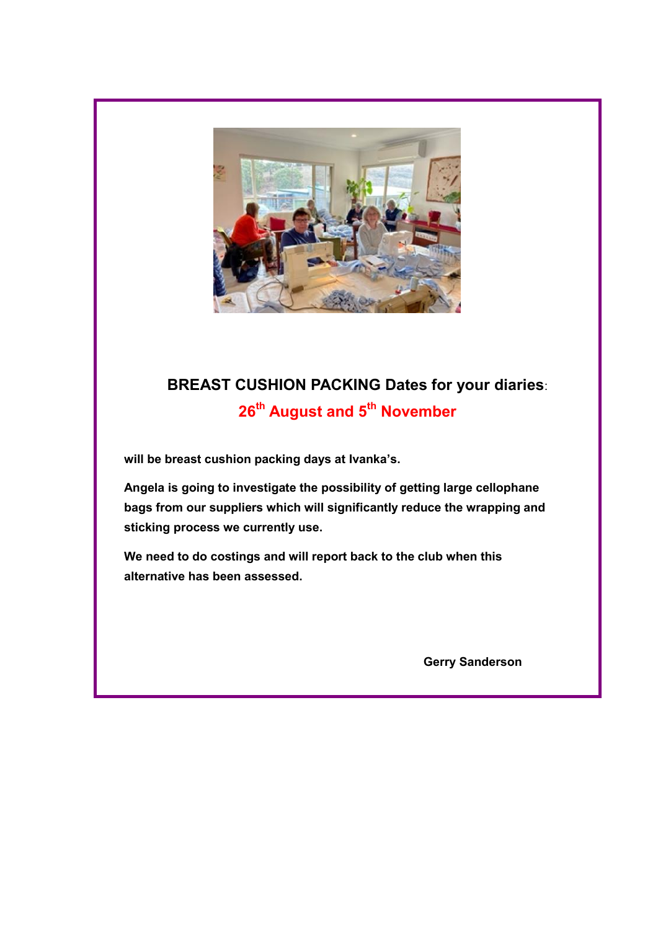

# **BREAST CUSHION PACKING Dates for your diaries**: **26th August and 5th November**

**will be breast cushion packing days at Ivanka's.** 

**Angela is going to investigate the possibility of getting large cellophane bags from our suppliers which will significantly reduce the wrapping and sticking process we currently use.** 

**We need to do costings and will report back to the club when this alternative has been assessed.**

**Gerry Sanderson**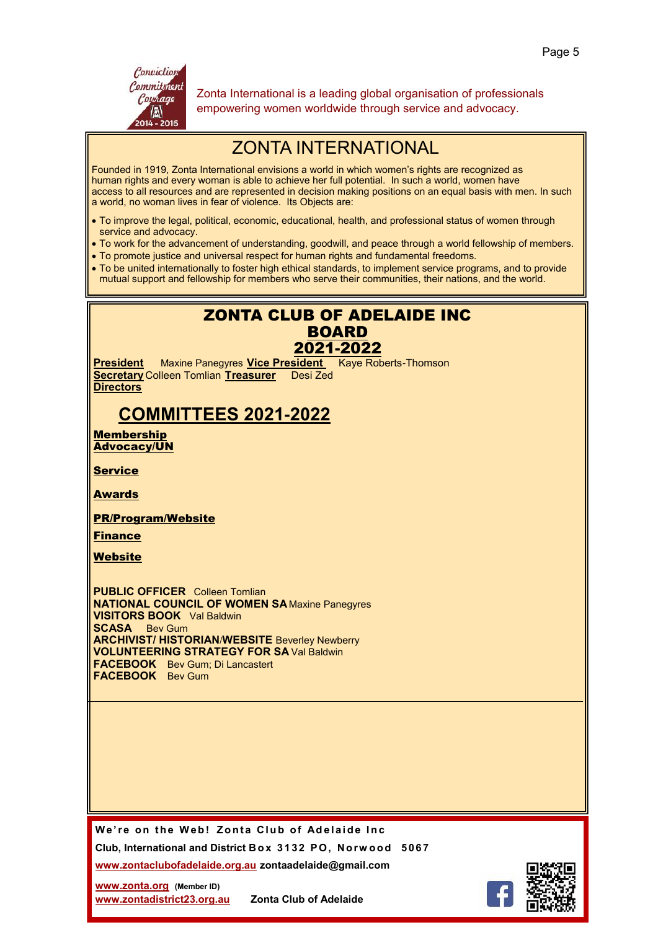

Zonta International is a leading global organisation of professionals empowering women worldwide through service and advocacy.

# ZONTA INTERNATIONAL

Founded in 1919, Zonta International envisions a world in which women's rights are recognized as human rights and every woman is able to achieve her full potential. In such a world, women have access to all resources and are represented in decision making positions on an equal basis with men. In such a world, no woman lives in fear of violence. Its Objects are:

- To improve the legal, political, economic, educational, health, and professional status of women through service and advocacy.
- To work for the advancement of understanding, goodwill, and peace through a world fellowship of members.
- To promote justice and universal respect for human rights and fundamental freedoms.
- To be united internationally to foster high ethical standards, to implement service programs, and to provide mutual support and fellowship for members who serve their communities, their nations, and the world.

# ZONTA CLUB OF ADELAIDE INC BOARD 2021-2022

**President** Maxine Panegyres **Vice President** Kaye Roberts-Thomson **Secretary** Colleen Tomlian **Treasurer** Desi Zed **Directors**

# **COMMITTEES 2021-2022**

Membership Advocacy/UN

Service

Awards

PR/Program/Website

Finance

Website

**PUBLIC OFFICER** Colleen Tomlian **NATIONAL COUNCIL OF WOMEN SA** Maxine Panegyres **VISITORS BOOK** Val Baldwin **SCASA** Bev Gum **ARCHIVIST/ HISTORIAN**/**WEBSITE** Beverley Newberry **VOLUNTEERING STRATEGY FOR SA** Val Baldwin **FACEBOOK** Bev Gum; Di Lancastert **FACEBOOK** Bev Gum

We're on the Web! Zonta Club of Adelaide Inc.

**Club, International and District Bo x 3 1 32 P O , No rw o o d 5 06 7**

**[www.zontaclubofadelaide.org.au](http://www.zontaclubofadelaide.org.au) zontaadelaide@gmail.com**